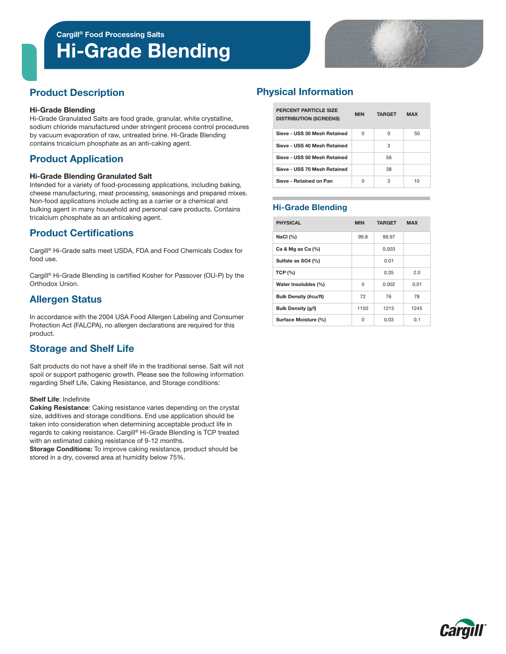# Hi-Grade Blending



### Product Description

#### Hi-Grade Blending

Hi-Grade Granulated Salts are food grade, granular, white crystalline, sodium chloride manufactured under stringent process control procedures by vacuum evaporation of raw, untreated brine. Hi-Grade Blending contains tricalcium phosphate as an anti-caking agent.

# Product Application

#### Hi-Grade Blending Granulated Salt

Intended for a variety of food-processing applications, including baking, cheese manufacturing, meat processing, seasonings and prepared mixes. Non-food applications include acting as a carrier or a chemical and bulking agent in many household and personal care products. Contains tricalcium phosphate as an anticaking agent.

### Product Certifications

Cargill® Hi-Grade salts meet USDA, FDA and Food Chemicals Codex for food use.

Cargill® Hi-Grade Blending is certified Kosher for Passover (OU-P) by the Orthodox Union.

### Allergen Status

In accordance with the 2004 USA Food Allergen Labeling and Consumer Protection Act (FALCPA), no allergen declarations are required for this product.

#### Storage and Shelf Life

Salt products do not have a shelf life in the traditional sense. Salt will not spoil or support pathogenic growth. Please see the following information regarding Shelf Life, Caking Resistance, and Storage conditions:

#### Shelf Life: Indefinite

Caking Resistance: Caking resistance varies depending on the crystal size, additives and storage conditions. End use application should be taken into consideration when determining acceptable product life in regards to caking resistance. Cargill® Hi-Grade Blending is TCP treated with an estimated caking resistance of 9-12 months.

Storage Conditions: To improve caking resistance, product should be stored in a dry, covered area at humidity below 75%.

# Physical Information

| PERCENT PARTICLE SIZE<br><b>DISTRIBUTION (SCREENS)</b> | <b>MIN</b> | <b>TARGET</b> | <b>MAX</b> |  |
|--------------------------------------------------------|------------|---------------|------------|--|
| Sieve - USS 30 Mesh Retained                           | U          | U             | 50         |  |
| Sieve - USS 40 Mesh Retained                           |            | з             |            |  |
| Sieve - USS 50 Mesh Retained                           |            | 56            |            |  |
| Sieve - USS 70 Mesh Retained                           |            | 38            |            |  |
| Sieve - Retained on Pan                                | U          | З             | 10         |  |

#### Hi-Grade Blending

| <b>PHYSICAL</b>              | <b>MIN</b> | <b>TARGET</b> | <b>MAX</b> |  |
|------------------------------|------------|---------------|------------|--|
| NaCl $(%)$                   | 99.8       | 99.97         |            |  |
| Ca & Mg as Ca (%)            |            | 0.003         |            |  |
| Sulfate as SO4 (%)           |            | 0.01          |            |  |
| <b>TCP (%)</b>               |            | 0.35          | 2.0        |  |
| Water Insolubles (%)         | 0          | 0.002         | 0.01       |  |
| <b>Bulk Density (#cu/ft)</b> | 72         | 76            | 78         |  |
| <b>Bulk Density (g/l)</b>    | 1150       | 1215          | 1245       |  |
| Surface Moisture (%)         | 0          | 0.03          | 0.1        |  |